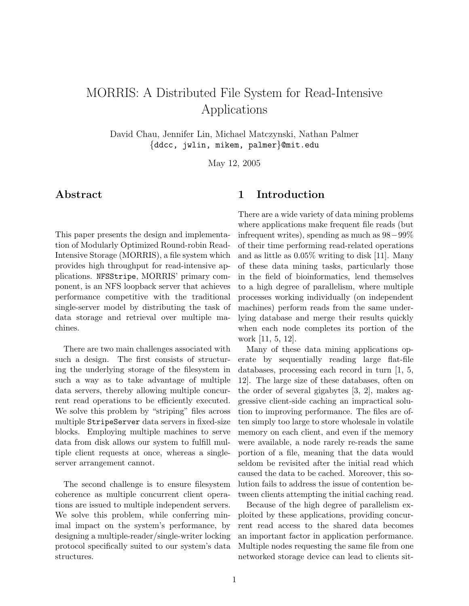# MORRIS: A Distributed File System for Read-Intensive Applications

David Chau, Jennifer Lin, Michael Matczynski, Nathan Palmer {ddcc, jwlin, mikem, palmer}@mit.edu

May 12, 2005

# Abstract

This paper presents the design and implementation of Modularly Optimized Round-robin Read-Intensive Storage (MORRIS), a file system which provides high throughput for read-intensive applications. NFSStripe, MORRIS' primary component, is an NFS loopback server that achieves performance competitive with the traditional single-server model by distributing the task of data storage and retrieval over multiple machines.

There are two main challenges associated with such a design. The first consists of structuring the underlying storage of the filesystem in such a way as to take advantage of multiple data servers, thereby allowing multiple concurrent read operations to be efficiently executed. We solve this problem by "striping" files across multiple StripeServer data servers in fixed-size blocks. Employing multiple machines to serve data from disk allows our system to fulfill multiple client requests at once, whereas a singleserver arrangement cannot.

The second challenge is to ensure filesystem coherence as multiple concurrent client operations are issued to multiple independent servers. We solve this problem, while conferring minimal impact on the system's performance, by designing a multiple-reader/single-writer locking protocol specifically suited to our system's data structures.

# 1 Introduction

There are a wide variety of data mining problems where applications make frequent file reads (but infrequent writes), spending as much as 98−99% of their time performing read-related operations and as little as 0.05% writing to disk [11]. Many of these data mining tasks, particularly those in the field of bioinformatics, lend themselves to a high degree of parallelism, where multiple processes working individually (on independent machines) perform reads from the same underlying database and merge their results quickly when each node completes its portion of the work [11, 5, 12].

Many of these data mining applications operate by sequentially reading large flat-file databases, processing each record in turn [1, 5, 12]. The large size of these databases, often on the order of several gigabytes [3, 2], makes aggressive client-side caching an impractical solution to improving performance. The files are often simply too large to store wholesale in volatile memory on each client, and even if the memory were available, a node rarely re-reads the same portion of a file, meaning that the data would seldom be revisited after the initial read which caused the data to be cached. Moreover, this solution fails to address the issue of contention between clients attempting the initial caching read.

Because of the high degree of parallelism exploited by these applications, providing concurrent read access to the shared data becomes an important factor in application performance. Multiple nodes requesting the same file from one networked storage device can lead to clients sit-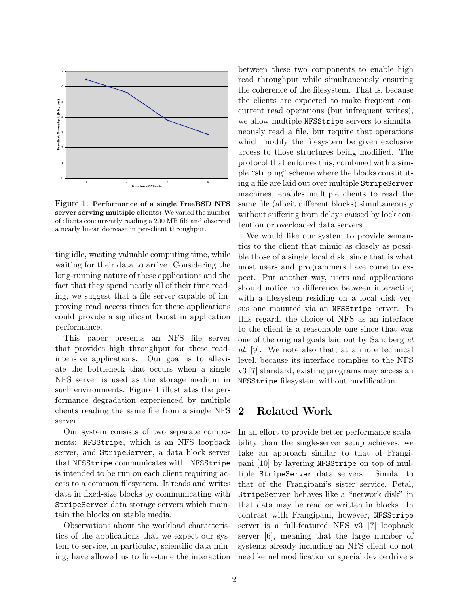

Figure 1: Performance of a single FreeBSD NFS server serving multiple clients: We varied the number of clients concurrently reading a 200 MB file and observed a nearly linear decrease in per-client throughput.

ting idle, wasting valuable computing time, while waiting for their data to arrive. Considering the long-running nature of these applications and the fact that they spend nearly all of their time reading, we suggest that a file server capable of improving read access times for these applications could provide a significant boost in application performance.

This paper presents an NFS file server that provides high throughput for these readintensive applications. Our goal is to alleviate the bottleneck that occurs when a single NFS server is used as the storage medium in such environments. Figure 1 illustrates the performance degradation experienced by multiple clients reading the same file from a single NFS server.

Our system consists of two separate components: NFSStripe, which is an NFS loopback server, and StripeServer, a data block server that NFSStripe communicates with. NFSStripe is intended to be run on each client requiring access to a common filesystem. It reads and writes data in fixed-size blocks by communicating with StripeServer data storage servers which maintain the blocks on stable media.

Observations about the workload characteristics of the applications that we expect our system to service, in particular, scientific data mining, have allowed us to fine-tune the interaction

we allow multiple NFSStripe servers to simultabetween these two components to enable high read throughput while simultaneously ensuring the coherence of the filesystem. That is, because the clients are expected to make frequent concurrent read operations (but infrequent writes), neously read a file, but require that operations which modify the filesystem be given exclusive access to those structures being modified. The protocol that enforces this, combined with a simple "striping" scheme where the blocks constituting a file are laid out over multiple StripeServer machines, enables multiple clients to read the same file (albeit different blocks) simultaneously without suffering from delays caused by lock contention or overloaded data servers.

We would like our system to provide semantics to the client that mimic as closely as possible those of a single local disk, since that is what most users and programmers have come to expect. Put another way, users and applications should notice no difference between interacting with a filesystem residing on a local disk versus one mounted via an NFSStripe server. In this regard, the choice of NFS as an interface to the client is a reasonable one since that was one of the original goals laid out by Sandberg et al. [9]. We note also that, at a more technical level, because its interface complies to the NFS v3 [7] standard, existing programs may access an NFSStripe filesystem without modification.

# 2 Related Work

In an effort to provide better performance scalability than the single-server setup achieves, we take an approach similar to that of Frangipani [10] by layering NFSStripe on top of multiple StripeServer data servers. Similar to that of the Frangipani's sister service, Petal, StripeServer behaves like a "network disk" in that data may be read or written in blocks. In contrast with Frangipani, however, NFSStripe server is a full-featured NFS v3 [7] loopback server [6], meaning that the large number of systems already including an NFS client do not need kernel modification or special device drivers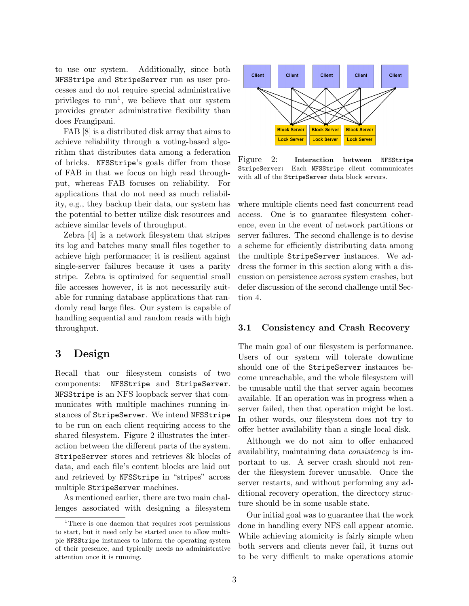to use our system. Additionally, since both NFSStripe and StripeServer run as user processes and do not require special administrative privileges to  $run<sup>1</sup>$ , we believe that our system provides greater administrative flexibility than does Frangipani.

FAB [8] is a distributed disk array that aims to achieve reliability through a voting-based algorithm that distributes data among a federation of bricks. NFSStripe's goals differ from those of FAB in that we focus on high read throughput, whereas FAB focuses on reliability. For applications that do not need as much reliability, e.g., they backup their data, our system has the potential to better utilize disk resources and achieve similar levels of throughput.

Zebra [4] is a network filesystem that stripes its log and batches many small files together to achieve high performance; it is resilient against single-server failures because it uses a parity stripe. Zebra is optimized for sequential small file accesses however, it is not necessarily suitable for running database applications that randomly read large files. Our system is capable of handling sequential and random reads with high throughput.

# 3 Design

Recall that our filesystem consists of two components: NFSStripe and StripeServer. NFSStripe is an NFS loopback server that communicates with multiple machines running instances of StripeServer. We intend NFSStripe to be run on each client requiring access to the shared filesystem. Figure 2 illustrates the interaction between the different parts of the system. StripeServer stores and retrieves 8k blocks of data, and each file's content blocks are laid out and retrieved by NFSStripe in "stripes" across multiple StripeServer machines.

As mentioned earlier, there are two main challenges associated with designing a filesystem



Figure 2: Interaction between NFSStripe StripeServer: Each NFSStripe client communicates with all of the StripeServer data block servers.

where multiple clients need fast concurrent read access. One is to guarantee filesystem coherence, even in the event of network partitions or server failures. The second challenge is to devise a scheme for efficiently distributing data among the multiple StripeServer instances. We address the former in this section along with a discussion on persistence across system crashes, but defer discussion of the second challenge until Section 4.

#### 3.1 Consistency and Crash Recovery

The main goal of our filesystem is performance. Users of our system will tolerate downtime should one of the StripeServer instances become unreachable, and the whole filesystem will be unusable until the that server again becomes available. If an operation was in progress when a server failed, then that operation might be lost. In other words, our filesystem does not try to offer better availability than a single local disk.

Although we do not aim to offer enhanced availability, maintaining data consistency is important to us. A server crash should not render the filesystem forever unusable. Once the server restarts, and without performing any additional recovery operation, the directory structure should be in some usable state.

Our initial goal was to guarantee that the work done in handling every NFS call appear atomic. While achieving atomicity is fairly simple when both servers and clients never fail, it turns out to be very difficult to make operations atomic

<sup>&</sup>lt;sup>1</sup>There is one daemon that requires root permissions to start, but it need only be started once to allow multiple NFSStripe instances to inform the operating system of their presence, and typically needs no administrative attention once it is running.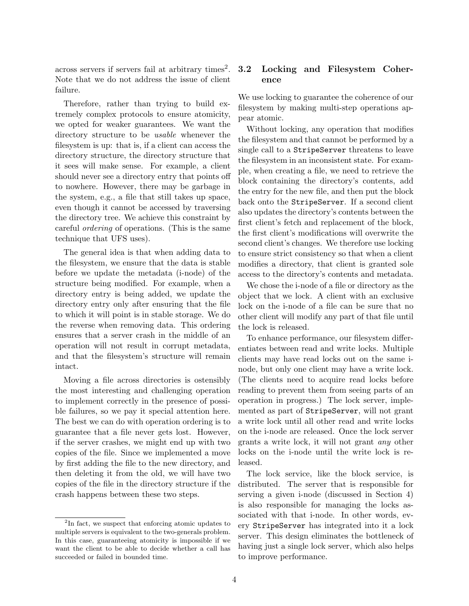$\alpha$ cross servers if servers fail at arbitrary times<sup>2</sup>. Note that we do not address the issue of client failure.

Therefore, rather than trying to build extremely complex protocols to ensure atomicity, we opted for weaker guarantees. We want the directory structure to be *usable* whenever the filesystem is up: that is, if a client can access the directory structure, the directory structure that it sees will make sense. For example, a client should never see a directory entry that points off to nowhere. However, there may be garbage in the system, e.g., a file that still takes up space, even though it cannot be accessed by traversing the directory tree. We achieve this constraint by careful ordering of operations. (This is the same technique that UFS uses).

The general idea is that when adding data to the filesystem, we ensure that the data is stable before we update the metadata (i-node) of the structure being modified. For example, when a directory entry is being added, we update the directory entry only after ensuring that the file to which it will point is in stable storage. We do the reverse when removing data. This ordering ensures that a server crash in the middle of an operation will not result in corrupt metadata, and that the filesystem's structure will remain intact.

Moving a file across directories is ostensibly the most interesting and challenging operation to implement correctly in the presence of possible failures, so we pay it special attention here. The best we can do with operation ordering is to guarantee that a file never gets lost. However, if the server crashes, we might end up with two copies of the file. Since we implemented a move by first adding the file to the new directory, and then deleting it from the old, we will have two copies of the file in the directory structure if the crash happens between these two steps.

### 3.2 Locking and Filesystem Coherence

We use locking to guarantee the coherence of our filesystem by making multi-step operations appear atomic.

Without locking, any operation that modifies the filesystem and that cannot be performed by a single call to a StripeServer threatens to leave the filesystem in an inconsistent state. For example, when creating a file, we need to retrieve the block containing the directory's contents, add the entry for the new file, and then put the block back onto the StripeServer. If a second client also updates the directory's contents between the first client's fetch and replacement of the block, the first client's modifications will overwrite the second client's changes. We therefore use locking to ensure strict consistency so that when a client modifies a directory, that client is granted sole access to the directory's contents and metadata.

We chose the i-node of a file or directory as the object that we lock. A client with an exclusive lock on the i-node of a file can be sure that no other client will modify any part of that file until the lock is released.

To enhance performance, our filesystem differentiates between read and write locks. Multiple clients may have read locks out on the same inode, but only one client may have a write lock. (The clients need to acquire read locks before reading to prevent them from seeing parts of an operation in progress.) The lock server, implemented as part of StripeServer, will not grant a write lock until all other read and write locks on the i-node are released. Once the lock server grants a write lock, it will not grant any other locks on the i-node until the write lock is released.

The lock service, like the block service, is distributed. The server that is responsible for serving a given i-node (discussed in Section 4) is also responsible for managing the locks associated with that i-node. In other words, every StripeServer has integrated into it a lock server. This design eliminates the bottleneck of having just a single lock server, which also helps to improve performance.

<sup>&</sup>lt;sup>2</sup>In fact, we suspect that enforcing atomic updates to multiple servers is equivalent to the two-generals problem. In this case, guaranteeing atomicity is impossible if we want the client to be able to decide whether a call has succeeded or failed in bounded time.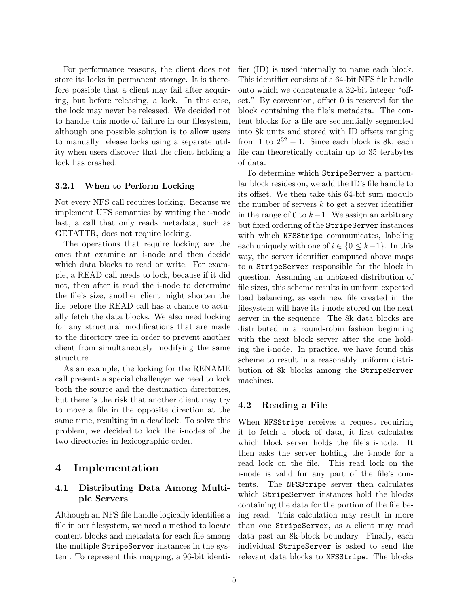For performance reasons, the client does not store its locks in permanent storage. It is therefore possible that a client may fail after acquiring, but before releasing, a lock. In this case, the lock may never be released. We decided not to handle this mode of failure in our filesystem, although one possible solution is to allow users to manually release locks using a separate utility when users discover that the client holding a lock has crashed.

#### 3.2.1 When to Perform Locking

Not every NFS call requires locking. Because we implement UFS semantics by writing the i-node last, a call that only reads metadata, such as GETATTR, does not require locking.

The operations that require locking are the ones that examine an i-node and then decide which data blocks to read or write. For example, a READ call needs to lock, because if it did not, then after it read the i-node to determine the file's size, another client might shorten the file before the READ call has a chance to actually fetch the data blocks. We also need locking for any structural modifications that are made to the directory tree in order to prevent another client from simultaneously modifying the same structure.

As an example, the locking for the RENAME call presents a special challenge: we need to lock both the source and the destination directories, but there is the risk that another client may try to move a file in the opposite direction at the same time, resulting in a deadlock. To solve this problem, we decided to lock the i-nodes of the two directories in lexicographic order.

### 4 Implementation

### 4.1 Distributing Data Among Multiple Servers

Although an NFS file handle logically identifies a file in our filesystem, we need a method to locate content blocks and metadata for each file among the multiple StripeServer instances in the system. To represent this mapping, a 96-bit identifier (ID) is used internally to name each block. This identifier consists of a 64-bit NFS file handle onto which we concatenate a 32-bit integer "offset." By convention, offset 0 is reserved for the block containing the file's metadata. The content blocks for a file are sequentially segmented into 8k units and stored with ID offsets ranging from 1 to  $2^{32} - 1$ . Since each block is 8k, each file can theoretically contain up to 35 terabytes of data.

To determine which StripeServer a particular block resides on, we add the ID's file handle to its offset. We then take this 64-bit sum modulo the number of servers  $k$  to get a server identifier in the range of 0 to  $k-1$ . We assign an arbitrary but fixed ordering of the StripeServer instances with which NFSStripe communicates, labeling each uniquely with one of  $i \in \{0 \leq k-1\}$ . In this way, the server identifier computed above maps to a StripeServer responsible for the block in question. Assuming an unbiased distribution of file sizes, this scheme results in uniform expected load balancing, as each new file created in the filesystem will have its i-node stored on the next server in the sequence. The 8k data blocks are distributed in a round-robin fashion beginning with the next block server after the one holding the i-node. In practice, we have found this scheme to result in a reasonably uniform distribution of 8k blocks among the StripeServer machines.

#### 4.2 Reading a File

When NFSStripe receives a request requiring it to fetch a block of data, it first calculates which block server holds the file's i-node. It then asks the server holding the i-node for a read lock on the file. This read lock on the i-node is valid for any part of the file's contents. The NFSStripe server then calculates which StripeServer instances hold the blocks containing the data for the portion of the file being read. This calculation may result in more than one StripeServer, as a client may read data past an 8k-block boundary. Finally, each individual StripeServer is asked to send the relevant data blocks to NFSStripe. The blocks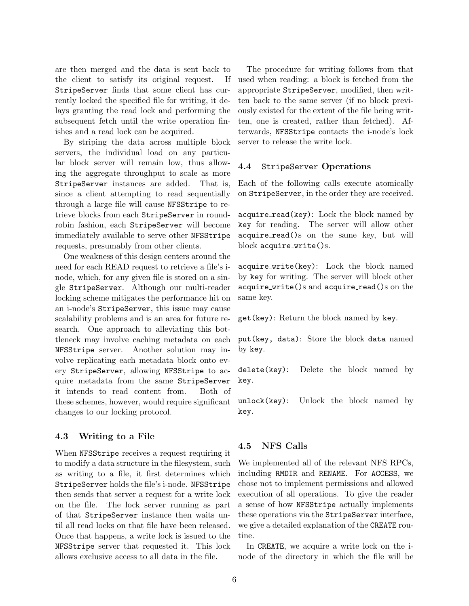are then merged and the data is sent back to the client to satisfy its original request. If StripeServer finds that some client has currently locked the specified file for writing, it delays granting the read lock and performing the subsequent fetch until the write operation finishes and a read lock can be acquired.

By striping the data across multiple block servers, the individual load on any particular block server will remain low, thus allowing the aggregate throughput to scale as more StripeServer instances are added. That is, since a client attempting to read sequentially through a large file will cause NFSStripe to retrieve blocks from each StripeServer in roundrobin fashion, each StripeServer will become immediately available to serve other NFSStripe requests, presumably from other clients.

One weakness of this design centers around the need for each READ request to retrieve a file's inode, which, for any given file is stored on a single StripeServer. Although our multi-reader locking scheme mitigates the performance hit on an i-node's StripeServer, this issue may cause scalability problems and is an area for future research. One approach to alleviating this bottleneck may involve caching metadata on each NFSStripe server. Another solution may involve replicating each metadata block onto every StripeServer, allowing NFSStripe to acquire metadata from the same StripeServer it intends to read content from. Both of these schemes, however, would require significant changes to our locking protocol.

#### 4.3 Writing to a File

When NFSStripe receives a request requiring it to modify a data structure in the filesystem, such as writing to a file, it first determines which StripeServer holds the file's i-node. NFSStripe then sends that server a request for a write lock on the file. The lock server running as part of that StripeServer instance then waits until all read locks on that file have been released. Once that happens, a write lock is issued to the NFSStripe server that requested it. This lock allows exclusive access to all data in the file.

The procedure for writing follows from that used when reading: a block is fetched from the appropriate StripeServer, modified, then written back to the same server (if no block previously existed for the extent of the file being written, one is created, rather than fetched). Afterwards, NFSStripe contacts the i-node's lock server to release the write lock.

#### 4.4 StripeServer Operations

Each of the following calls execute atomically on StripeServer, in the order they are received.

acquire\_read(key): Lock the block named by key for reading. The server will allow other acquire read()s on the same key, but will block acquire\_write()s.

acquire write(key): Lock the block named by key for writing. The server will block other  $acquire.write()s and acquire.read()s on the$ same key.

get(key): Return the block named by key.

put(key, data): Store the block data named by key.

delete(key): Delete the block named by key.

unlock(key): Unlock the block named by key.

#### 4.5 NFS Calls

We implemented all of the relevant NFS RPCs, including RMDIR and RENAME. For ACCESS, we chose not to implement permissions and allowed execution of all operations. To give the reader a sense of how NFSStripe actually implements these operations via the StripeServer interface, we give a detailed explanation of the CREATE routine.

In CREATE, we acquire a write lock on the inode of the directory in which the file will be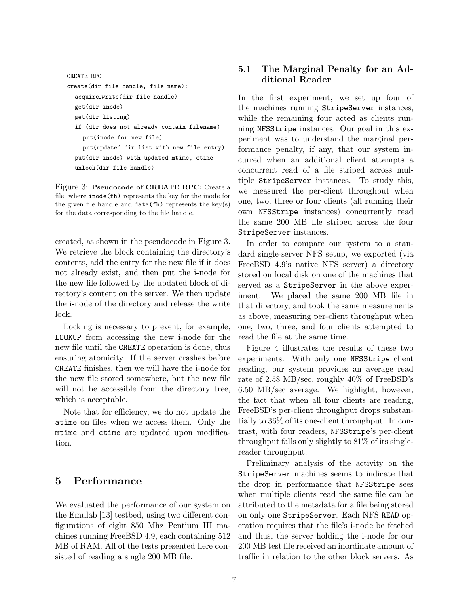```
CREATE RPC
create(dir file handle, file name):
  acquire write(dir file handle)
  get(dir inode)
  get(dir listing)
  if (dir does not already contain filename):
    put(inode for new file)
    put(updated dir list with new file entry)
  put(dir inode) with updated mtime, ctime
  unlock(dir file handle)
```
Figure 3: Pseudocode of CREATE RPC: Create a file, where  $\texttt{inode}(\texttt{fh})$  represents the key for the inode for corresponding to the file handle. for the data corresponding to the file handle. the given file handle and  $data(fh)$  represents the key(s)

2 Performance created, as shown in the pseudocode in Figure 3. We retrieve the block containing the directory's contents, add the entry for the new file if it does not already exist, and then put the i-node for the new file followed by the updated block of directory's content on the server. We then update the i-node of the directory and release the write lock.

Locking is necessary to prevent, for example, LOOKUP from accessing the new i-node for the new file until the CREATE operation is done, thus ensuring atomicity. If the server crashes before CREATE finishes, then we will have the i-node for the new file stored somewhere, but the new file will not be accessible from the directory tree, which is acceptable.

Note that for efficiency, we do not update the atime on files when we access them. Only the mtime and ctime are updated upon modification.

# 5 Performance

We evaluated the performance of our system on the Emulab [13] testbed, using two different configurations of eight 850 Mhz Pentium III machines running FreeBSD 4.9, each containing 512 MB of RAM. All of the tests presented here consisted of reading a single 200 MB file.

### 5.1 The Marginal Penalty for an Additional Reader

In the first experiment, we set up four of the machines running StripeServer instances, while the remaining four acted as clients running NFSStripe instances. Our goal in this experiment was to understand the marginal performance penalty, if any, that our system incurred when an additional client attempts a concurrent read of a file striped across multiple StripeServer instances. To study this, we measured the per-client throughput when one, two, three or four clients (all running their own NFSStripe instances) concurrently read the same 200 MB file striped across the four StripeServer instances.

In order to compare our system to a standard single-server NFS setup, we exported (via FreeBSD 4.9's native NFS server) a directory stored on local disk on one of the machines that served as a StripeServer in the above experiment. We placed the same 200 MB file in that directory, and took the same measurements as above, measuring per-client throughput when one, two, three, and four clients attempted to read the file at the same time.

Figure 4 illustrates the results of these two experiments. With only one NFSStripe client reading, our system provides an average read rate of 2.58 MB/sec, roughly 40% of FreeBSD's 6.50 MB/sec average. We highlight, however, the fact that when all four clients are reading, FreeBSD's per-client throughput drops substantially to 36% of its one-client throughput. In contrast, with four readers, NFSStripe's per-client throughput falls only slightly to 81% of its singlereader throughput.

Preliminary analysis of the activity on the StripeServer machines seems to indicate that the drop in performance that NFSStripe sees when multiple clients read the same file can be attributed to the metadata for a file being stored on only one StripeServer. Each NFS READ operation requires that the file's i-node be fetched and thus, the server holding the i-node for our 200 MB test file received an inordinate amount of traffic in relation to the other block servers. As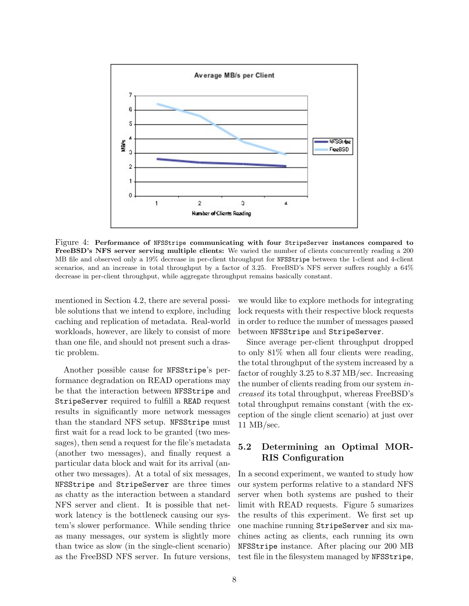

Figure 4: Performance of NFSStripe communicating with four StripeServer instances compared to FreeBSD's NFS server serving multiple clients: We varied the number of clients concurrently reading a 200 MB file and observed only a 19% decrease in per-client throughput for NFSStripe between the 1-client and 4-client scenarios, and an increase in total throughput by a factor of 3.25. FreeBSD's NFS server suffers roughly a 64% decrease in per-client throughput, while aggregate throughput remains basically constant.

mentioned in Section 4.2, there are several possible solutions that we intend to explore, including caching and replication of metadata. Real-world workloads, however, are likely to consist of more than one file, and should not present such a drastic problem.

Another possible cause for NFSStripe's performance degradation on READ operations may be that the interaction between NFSStripe and StripeServer required to fulfill a READ request results in significantly more network messages than the standard NFS setup. NFSStripe must first wait for a read lock to be granted (two messages), then send a request for the file's metadata (another two messages), and finally request a particular data block and wait for its arrival (another two messages). At a total of six messages, NFSStripe and StripeServer are three times as chatty as the interaction between a standard NFS server and client. It is possible that network latency is the bottleneck causing our system's slower performance. While sending thrice as many messages, our system is slightly more than twice as slow (in the single-client scenario) as the FreeBSD NFS server. In future versions,

we would like to explore methods for integrating lock requests with their respective block requests in order to reduce the number of messages passed between NFSStripe and StripeServer.

Since average per-client throughput dropped to only 81% when all four clients were reading, the total throughput of the system increased by a factor of roughly 3.25 to 8.37 MB/sec. Increasing the number of clients reading from our system increased its total throughput, whereas FreeBSD's total throughput remains constant (with the exception of the single client scenario) at just over 11 MB/sec.

### 5.2 Determining an Optimal MOR-RIS Configuration

In a second experiment, we wanted to study how our system performs relative to a standard NFS server when both systems are pushed to their limit with READ requests. Figure 5 sumarizes the results of this experiment. We first set up one machine running StripeServer and six machines acting as clients, each running its own NFSStripe instance. After placing our 200 MB test file in the filesystem managed by NFSStripe,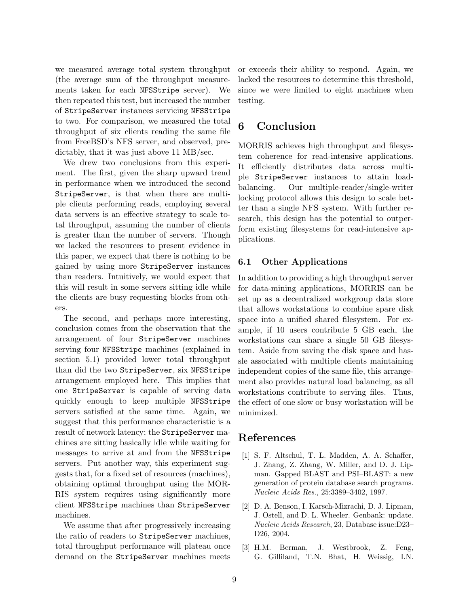we measured average total system throughput (the average sum of the throughput measurements taken for each NFSStripe server). We then repeated this test, but increased the number of StripeServer instances servicing NFSStripe to two. For comparison, we measured the total throughput of six clients reading the same file from FreeBSD's NFS server, and observed, predictably, that it was just above 11 MB/sec.

We drew two conclusions from this experiment. The first, given the sharp upward trend in performance when we introduced the second StripeServer, is that when there are multiple clients performing reads, employing several data servers is an effective strategy to scale total throughput, assuming the number of clients is greater than the number of servers. Though we lacked the resources to present evidence in this paper, we expect that there is nothing to be gained by using more StripeServer instances than readers. Intuitively, we would expect that this will result in some servers sitting idle while the clients are busy requesting blocks from others.

The second, and perhaps more interesting, conclusion comes from the observation that the arrangement of four StripeServer machines serving four NFSStripe machines (explained in section 5.1) provided lower total throughput than did the two StripeServer, six NFSStripe arrangement employed here. This implies that one StripeServer is capable of serving data quickly enough to keep multiple NFSStripe servers satisfied at the same time. Again, we suggest that this performance characteristic is a result of network latency; the StripeServer machines are sitting basically idle while waiting for messages to arrive at and from the NFSStripe servers. Put another way, this experiment suggests that, for a fixed set of resources (machines), obtaining optimal throughput using the MOR-RIS system requires using significantly more client NFSStripe machines than StripeServer machines.

We assume that after progressively increasing the ratio of readers to StripeServer machines, total throughput performance will plateau once demand on the StripeServer machines meets

or exceeds their ability to respond. Again, we lacked the resources to determine this threshold, since we were limited to eight machines when testing.

# 6 Conclusion

MORRIS achieves high throughput and filesystem coherence for read-intensive applications. It efficiently distributes data across multiple StripeServer instances to attain loadbalancing. Our multiple-reader/single-writer locking protocol allows this design to scale better than a single NFS system. With further research, this design has the potential to outperform existing filesystems for read-intensive applications.

### 6.1 Other Applications

In addition to providing a high throughput server for data-mining applications, MORRIS can be set up as a decentralized workgroup data store that allows workstations to combine spare disk space into a unified shared filesystem. For example, if 10 users contribute 5 GB each, the workstations can share a single 50 GB filesystem. Aside from saving the disk space and hassle associated with multiple clients maintaining independent copies of the same file, this arrangement also provides natural load balancing, as all workstations contribute to serving files. Thus, the effect of one slow or busy workstation will be minimized.

# References

- [1] S. F. Altschul, T. L. Madden, A. A. Schaffer, J. Zhang, Z. Zhang, W. Miller, and D. J. Lipman. Gapped BLAST and PSI–BLAST: a new generation of protein database search programs. Nucleic Acids Res., 25:3389–3402, 1997.
- [2] D. A. Benson, I. Karsch-Mizrachi, D. J. Lipman, J. Ostell, and D. L. Wheeler. Genbank: update. Nucleic Acids Research, 23, Database issue:D23– D26, 2004.
- [3] H.M. Berman, J. Westbrook, Z. Feng, G. Gilliland, T.N. Bhat, H. Weissig, I.N.